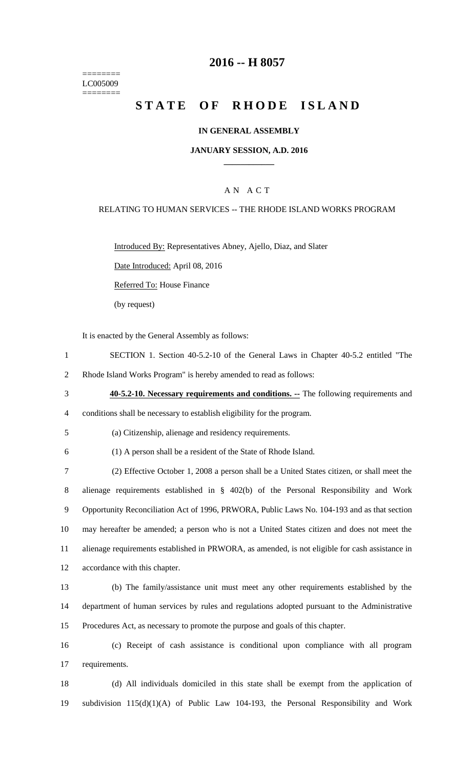======== LC005009 ========

# **2016 -- H 8057**

# **STATE OF RHODE ISLAND**

### **IN GENERAL ASSEMBLY**

#### **JANUARY SESSION, A.D. 2016 \_\_\_\_\_\_\_\_\_\_\_\_**

### A N A C T

### RELATING TO HUMAN SERVICES -- THE RHODE ISLAND WORKS PROGRAM

Introduced By: Representatives Abney, Ajello, Diaz, and Slater

Date Introduced: April 08, 2016

Referred To: House Finance

(by request)

It is enacted by the General Assembly as follows:

- 1 SECTION 1. Section 40-5.2-10 of the General Laws in Chapter 40-5.2 entitled "The
- 2 Rhode Island Works Program" is hereby amended to read as follows:
- 3 **40-5.2-10. Necessary requirements and conditions. --** The following requirements and 4 conditions shall be necessary to establish eligibility for the program.

5 (a) Citizenship, alienage and residency requirements.

6 (1) A person shall be a resident of the State of Rhode Island.

 (2) Effective October 1, 2008 a person shall be a United States citizen, or shall meet the alienage requirements established in § 402(b) of the Personal Responsibility and Work Opportunity Reconciliation Act of 1996, PRWORA, Public Laws No. 104-193 and as that section may hereafter be amended; a person who is not a United States citizen and does not meet the alienage requirements established in PRWORA, as amended, is not eligible for cash assistance in accordance with this chapter.

13 (b) The family/assistance unit must meet any other requirements established by the 14 department of human services by rules and regulations adopted pursuant to the Administrative 15 Procedures Act, as necessary to promote the purpose and goals of this chapter.

16 (c) Receipt of cash assistance is conditional upon compliance with all program 17 requirements.

18 (d) All individuals domiciled in this state shall be exempt from the application of 19 subdivision 115(d)(1)(A) of Public Law 104-193, the Personal Responsibility and Work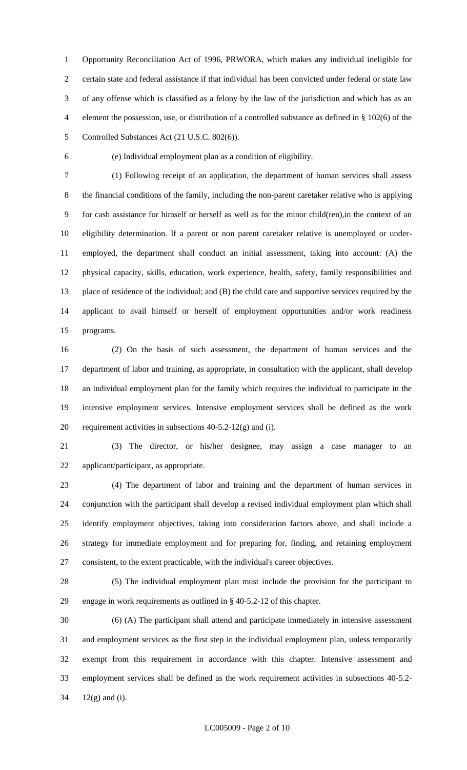Opportunity Reconciliation Act of 1996, PRWORA, which makes any individual ineligible for certain state and federal assistance if that individual has been convicted under federal or state law of any offense which is classified as a felony by the law of the jurisdiction and which has as an element the possession, use, or distribution of a controlled substance as defined in § 102(6) of the Controlled Substances Act (21 U.S.C. 802(6)).

(e) Individual employment plan as a condition of eligibility.

 (1) Following receipt of an application, the department of human services shall assess the financial conditions of the family, including the non-parent caretaker relative who is applying for cash assistance for himself or herself as well as for the minor child(ren),in the context of an eligibility determination. If a parent or non parent caretaker relative is unemployed or under- employed, the department shall conduct an initial assessment, taking into account: (A) the physical capacity, skills, education, work experience, health, safety, family responsibilities and place of residence of the individual; and (B) the child care and supportive services required by the applicant to avail himself or herself of employment opportunities and/or work readiness programs.

 (2) On the basis of such assessment, the department of human services and the department of labor and training, as appropriate, in consultation with the applicant, shall develop an individual employment plan for the family which requires the individual to participate in the intensive employment services. Intensive employment services shall be defined as the work 20 requirement activities in subsections  $40-5.2-12(g)$  and (i).

 (3) The director, or his/her designee, may assign a case manager to an applicant/participant, as appropriate.

 (4) The department of labor and training and the department of human services in conjunction with the participant shall develop a revised individual employment plan which shall identify employment objectives, taking into consideration factors above, and shall include a strategy for immediate employment and for preparing for, finding, and retaining employment consistent, to the extent practicable, with the individual's career objectives.

 (5) The individual employment plan must include the provision for the participant to engage in work requirements as outlined in § 40-5.2-12 of this chapter.

 (6) (A) The participant shall attend and participate immediately in intensive assessment and employment services as the first step in the individual employment plan, unless temporarily exempt from this requirement in accordance with this chapter. Intensive assessment and employment services shall be defined as the work requirement activities in subsections 40-5.2- 12(g) and (i).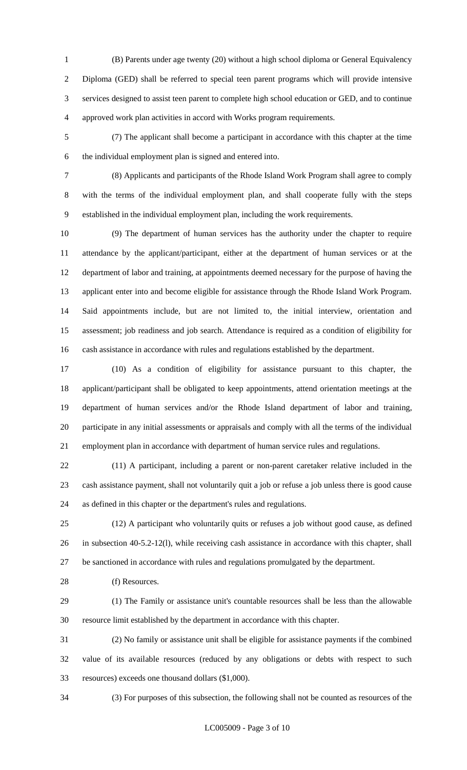- (B) Parents under age twenty (20) without a high school diploma or General Equivalency Diploma (GED) shall be referred to special teen parent programs which will provide intensive services designed to assist teen parent to complete high school education or GED, and to continue approved work plan activities in accord with Works program requirements.
- (7) The applicant shall become a participant in accordance with this chapter at the time the individual employment plan is signed and entered into.
- 

 (8) Applicants and participants of the Rhode Island Work Program shall agree to comply with the terms of the individual employment plan, and shall cooperate fully with the steps established in the individual employment plan, including the work requirements.

 (9) The department of human services has the authority under the chapter to require attendance by the applicant/participant, either at the department of human services or at the department of labor and training, at appointments deemed necessary for the purpose of having the applicant enter into and become eligible for assistance through the Rhode Island Work Program. Said appointments include, but are not limited to, the initial interview, orientation and assessment; job readiness and job search. Attendance is required as a condition of eligibility for cash assistance in accordance with rules and regulations established by the department.

 (10) As a condition of eligibility for assistance pursuant to this chapter, the applicant/participant shall be obligated to keep appointments, attend orientation meetings at the department of human services and/or the Rhode Island department of labor and training, participate in any initial assessments or appraisals and comply with all the terms of the individual employment plan in accordance with department of human service rules and regulations.

 (11) A participant, including a parent or non-parent caretaker relative included in the cash assistance payment, shall not voluntarily quit a job or refuse a job unless there is good cause as defined in this chapter or the department's rules and regulations.

 (12) A participant who voluntarily quits or refuses a job without good cause, as defined in subsection 40-5.2-12(l), while receiving cash assistance in accordance with this chapter, shall be sanctioned in accordance with rules and regulations promulgated by the department.

28 (f) Resources.

 (1) The Family or assistance unit's countable resources shall be less than the allowable resource limit established by the department in accordance with this chapter.

 (2) No family or assistance unit shall be eligible for assistance payments if the combined value of its available resources (reduced by any obligations or debts with respect to such resources) exceeds one thousand dollars (\$1,000).

(3) For purposes of this subsection, the following shall not be counted as resources of the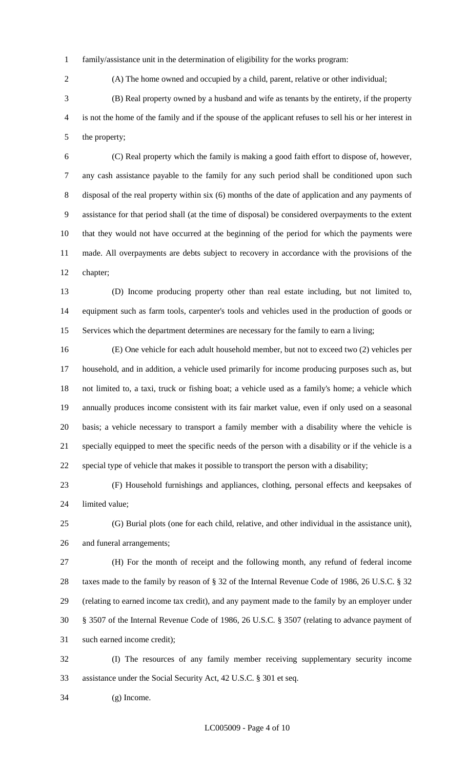family/assistance unit in the determination of eligibility for the works program:

(A) The home owned and occupied by a child, parent, relative or other individual;

 (B) Real property owned by a husband and wife as tenants by the entirety, if the property is not the home of the family and if the spouse of the applicant refuses to sell his or her interest in the property;

 (C) Real property which the family is making a good faith effort to dispose of, however, any cash assistance payable to the family for any such period shall be conditioned upon such disposal of the real property within six (6) months of the date of application and any payments of assistance for that period shall (at the time of disposal) be considered overpayments to the extent that they would not have occurred at the beginning of the period for which the payments were made. All overpayments are debts subject to recovery in accordance with the provisions of the chapter;

 (D) Income producing property other than real estate including, but not limited to, equipment such as farm tools, carpenter's tools and vehicles used in the production of goods or Services which the department determines are necessary for the family to earn a living;

 (E) One vehicle for each adult household member, but not to exceed two (2) vehicles per household, and in addition, a vehicle used primarily for income producing purposes such as, but not limited to, a taxi, truck or fishing boat; a vehicle used as a family's home; a vehicle which annually produces income consistent with its fair market value, even if only used on a seasonal basis; a vehicle necessary to transport a family member with a disability where the vehicle is specially equipped to meet the specific needs of the person with a disability or if the vehicle is a special type of vehicle that makes it possible to transport the person with a disability;

 (F) Household furnishings and appliances, clothing, personal effects and keepsakes of limited value;

 (G) Burial plots (one for each child, relative, and other individual in the assistance unit), and funeral arrangements;

 (H) For the month of receipt and the following month, any refund of federal income taxes made to the family by reason of § 32 of the Internal Revenue Code of 1986, 26 U.S.C. § 32 (relating to earned income tax credit), and any payment made to the family by an employer under § 3507 of the Internal Revenue Code of 1986, 26 U.S.C. § 3507 (relating to advance payment of such earned income credit);

 (I) The resources of any family member receiving supplementary security income assistance under the Social Security Act, 42 U.S.C. § 301 et seq.

(g) Income.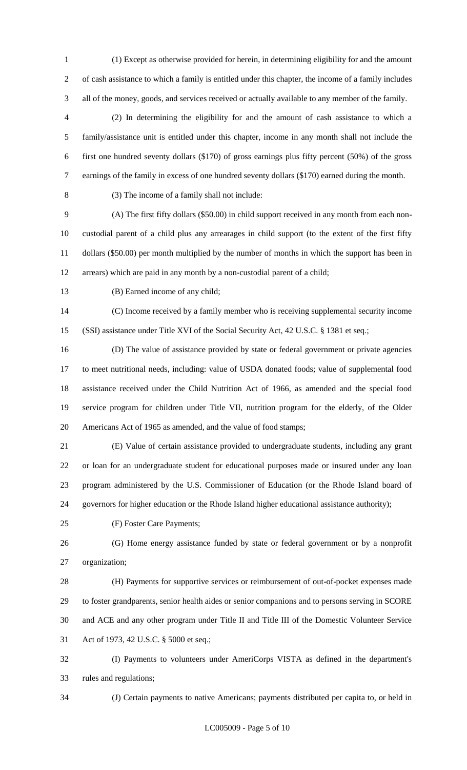(1) Except as otherwise provided for herein, in determining eligibility for and the amount of cash assistance to which a family is entitled under this chapter, the income of a family includes all of the money, goods, and services received or actually available to any member of the family.

 (2) In determining the eligibility for and the amount of cash assistance to which a family/assistance unit is entitled under this chapter, income in any month shall not include the first one hundred seventy dollars (\$170) of gross earnings plus fifty percent (50%) of the gross earnings of the family in excess of one hundred seventy dollars (\$170) earned during the month.

(3) The income of a family shall not include:

 (A) The first fifty dollars (\$50.00) in child support received in any month from each non- custodial parent of a child plus any arrearages in child support (to the extent of the first fifty dollars (\$50.00) per month multiplied by the number of months in which the support has been in arrears) which are paid in any month by a non-custodial parent of a child;

(B) Earned income of any child;

 (C) Income received by a family member who is receiving supplemental security income (SSI) assistance under Title XVI of the Social Security Act, 42 U.S.C. § 1381 et seq.;

 (D) The value of assistance provided by state or federal government or private agencies to meet nutritional needs, including: value of USDA donated foods; value of supplemental food assistance received under the Child Nutrition Act of 1966, as amended and the special food service program for children under Title VII, nutrition program for the elderly, of the Older Americans Act of 1965 as amended, and the value of food stamps;

 (E) Value of certain assistance provided to undergraduate students, including any grant or loan for an undergraduate student for educational purposes made or insured under any loan program administered by the U.S. Commissioner of Education (or the Rhode Island board of governors for higher education or the Rhode Island higher educational assistance authority);

(F) Foster Care Payments;

 (G) Home energy assistance funded by state or federal government or by a nonprofit organization;

 (H) Payments for supportive services or reimbursement of out-of-pocket expenses made to foster grandparents, senior health aides or senior companions and to persons serving in SCORE and ACE and any other program under Title II and Title III of the Domestic Volunteer Service Act of 1973, 42 U.S.C. § 5000 et seq.;

 (I) Payments to volunteers under AmeriCorps VISTA as defined in the department's rules and regulations;

(J) Certain payments to native Americans; payments distributed per capita to, or held in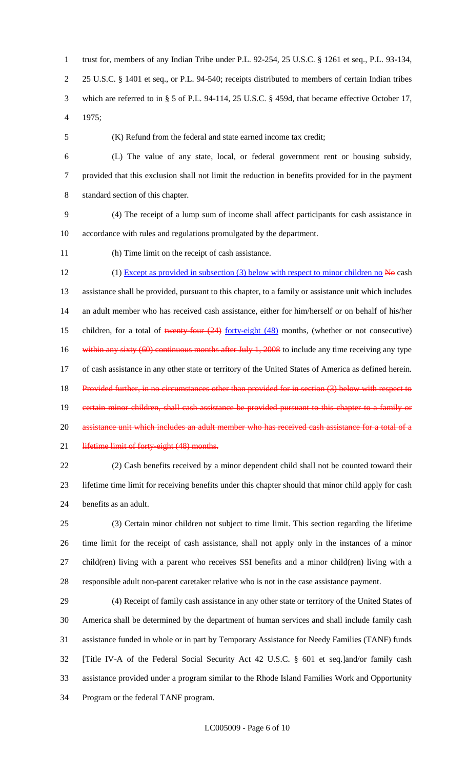trust for, members of any Indian Tribe under P.L. 92-254, 25 U.S.C. § 1261 et seq., P.L. 93-134, 25 U.S.C. § 1401 et seq., or P.L. 94-540; receipts distributed to members of certain Indian tribes which are referred to in § 5 of P.L. 94-114, 25 U.S.C. § 459d, that became effective October 17, 1975;

(K) Refund from the federal and state earned income tax credit;

 (L) The value of any state, local, or federal government rent or housing subsidy, provided that this exclusion shall not limit the reduction in benefits provided for in the payment standard section of this chapter.

 (4) The receipt of a lump sum of income shall affect participants for cash assistance in accordance with rules and regulations promulgated by the department.

(h) Time limit on the receipt of cash assistance.

12 (1) Except as provided in subsection (3) below with respect to minor children no No cash assistance shall be provided, pursuant to this chapter, to a family or assistance unit which includes an adult member who has received cash assistance, either for him/herself or on behalf of his/her 15 children, for a total of twenty-four  $(24)$  forty-eight  $(48)$  months, (whether or not consecutive) 16 within any sixty (60) continuous months after July 1, 2008 to include any time receiving any type of cash assistance in any other state or territory of the United States of America as defined herein. 18 Provided further, in no circumstances other than provided for in section (3) below with respect to 19 certain minor children, shall cash assistance be provided pursuant to this chapter to a family or 20 assistance unit which includes an adult member who has received cash assistance for a total of a 21 lifetime limit of forty-eight (48) months.

 (2) Cash benefits received by a minor dependent child shall not be counted toward their lifetime time limit for receiving benefits under this chapter should that minor child apply for cash benefits as an adult.

 (3) Certain minor children not subject to time limit. This section regarding the lifetime time limit for the receipt of cash assistance, shall not apply only in the instances of a minor child(ren) living with a parent who receives SSI benefits and a minor child(ren) living with a responsible adult non-parent caretaker relative who is not in the case assistance payment.

 (4) Receipt of family cash assistance in any other state or territory of the United States of America shall be determined by the department of human services and shall include family cash assistance funded in whole or in part by Temporary Assistance for Needy Families (TANF) funds [Title IV-A of the Federal Social Security Act 42 U.S.C. § 601 et seq.]and/or family cash assistance provided under a program similar to the Rhode Island Families Work and Opportunity Program or the federal TANF program.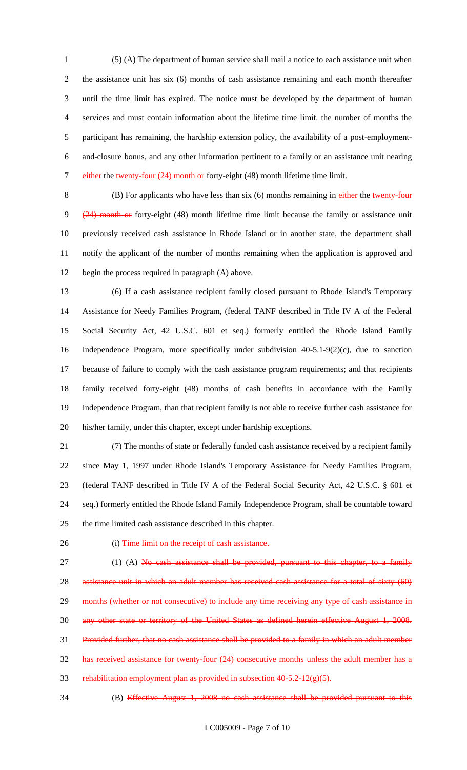(5) (A) The department of human service shall mail a notice to each assistance unit when the assistance unit has six (6) months of cash assistance remaining and each month thereafter until the time limit has expired. The notice must be developed by the department of human services and must contain information about the lifetime time limit. the number of months the participant has remaining, the hardship extension policy, the availability of a post-employment- and-closure bonus, and any other information pertinent to a family or an assistance unit nearing 7 either the twenty-four (24) month or forty-eight (48) month lifetime time limit.

8 (B) For applicants who have less than six (6) months remaining in either the twenty-four (24) month or forty-eight (48) month lifetime time limit because the family or assistance unit previously received cash assistance in Rhode Island or in another state, the department shall notify the applicant of the number of months remaining when the application is approved and begin the process required in paragraph (A) above.

 (6) If a cash assistance recipient family closed pursuant to Rhode Island's Temporary Assistance for Needy Families Program, (federal TANF described in Title IV A of the Federal Social Security Act, 42 U.S.C. 601 et seq.) formerly entitled the Rhode Island Family Independence Program, more specifically under subdivision 40-5.1-9(2)(c), due to sanction because of failure to comply with the cash assistance program requirements; and that recipients family received forty-eight (48) months of cash benefits in accordance with the Family Independence Program, than that recipient family is not able to receive further cash assistance for his/her family, under this chapter, except under hardship exceptions.

 (7) The months of state or federally funded cash assistance received by a recipient family since May 1, 1997 under Rhode Island's Temporary Assistance for Needy Families Program, (federal TANF described in Title IV A of the Federal Social Security Act, 42 U.S.C. § 601 et seq.) formerly entitled the Rhode Island Family Independence Program, shall be countable toward the time limited cash assistance described in this chapter.

#### 26 (i) Time limit on the receipt of cash assistance.

27  $(1)$  (A) No cash assistance shall be provided, pursuant to this chapter, to a family 28 assistance unit in which an adult member has received cash assistance for a total of sixty (60) 29 months (whether or not consecutive) to include any time receiving any type of cash assistance in any other state or territory of the United States as defined herein effective August 1, 2008. Provided further, that no cash assistance shall be provided to a family in which an adult member has received assistance for twenty-four (24) consecutive months unless the adult member has a 33 rehabilitation employment plan as provided in subsection  $40-5.2-12(g)(5)$ .

(B) Effective August 1, 2008 no cash assistance shall be provided pursuant to this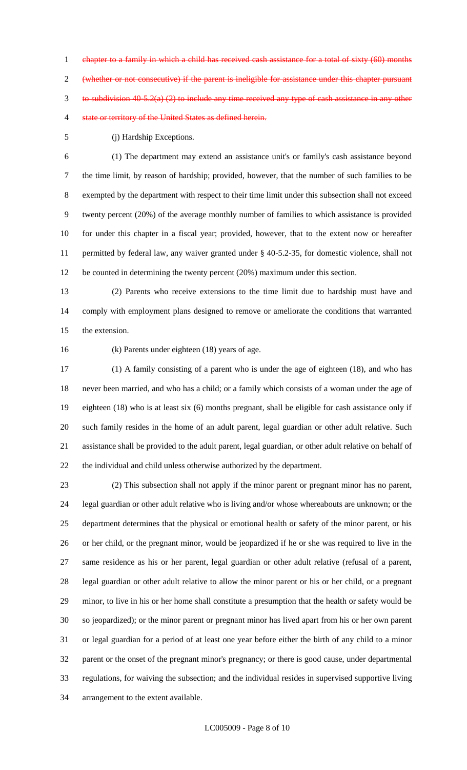chapter to a family in which a child has received cash assistance for a total of sixty (60) months (whether or not consecutive) if the parent is ineligible for assistance under this chapter pursuant to subdivision 40-5.2(a) (2) to include any time received any type of cash assistance in any other state or territory of the United States as defined herein.

(j) Hardship Exceptions.

 (1) The department may extend an assistance unit's or family's cash assistance beyond the time limit, by reason of hardship; provided, however, that the number of such families to be exempted by the department with respect to their time limit under this subsection shall not exceed twenty percent (20%) of the average monthly number of families to which assistance is provided for under this chapter in a fiscal year; provided, however, that to the extent now or hereafter permitted by federal law, any waiver granted under § 40-5.2-35, for domestic violence, shall not be counted in determining the twenty percent (20%) maximum under this section.

 (2) Parents who receive extensions to the time limit due to hardship must have and comply with employment plans designed to remove or ameliorate the conditions that warranted the extension.

(k) Parents under eighteen (18) years of age.

 (1) A family consisting of a parent who is under the age of eighteen (18), and who has never been married, and who has a child; or a family which consists of a woman under the age of eighteen (18) who is at least six (6) months pregnant, shall be eligible for cash assistance only if such family resides in the home of an adult parent, legal guardian or other adult relative. Such assistance shall be provided to the adult parent, legal guardian, or other adult relative on behalf of the individual and child unless otherwise authorized by the department.

 (2) This subsection shall not apply if the minor parent or pregnant minor has no parent, legal guardian or other adult relative who is living and/or whose whereabouts are unknown; or the department determines that the physical or emotional health or safety of the minor parent, or his or her child, or the pregnant minor, would be jeopardized if he or she was required to live in the same residence as his or her parent, legal guardian or other adult relative (refusal of a parent, legal guardian or other adult relative to allow the minor parent or his or her child, or a pregnant minor, to live in his or her home shall constitute a presumption that the health or safety would be so jeopardized); or the minor parent or pregnant minor has lived apart from his or her own parent or legal guardian for a period of at least one year before either the birth of any child to a minor parent or the onset of the pregnant minor's pregnancy; or there is good cause, under departmental regulations, for waiving the subsection; and the individual resides in supervised supportive living arrangement to the extent available.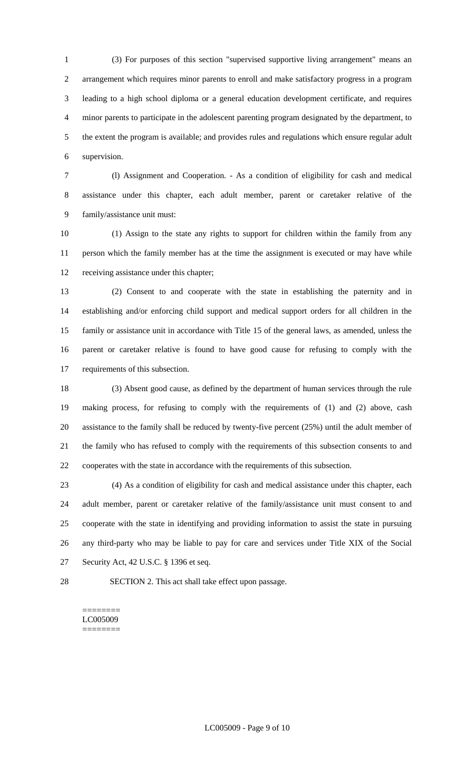(3) For purposes of this section "supervised supportive living arrangement" means an arrangement which requires minor parents to enroll and make satisfactory progress in a program leading to a high school diploma or a general education development certificate, and requires minor parents to participate in the adolescent parenting program designated by the department, to the extent the program is available; and provides rules and regulations which ensure regular adult supervision.

 (l) Assignment and Cooperation. - As a condition of eligibility for cash and medical assistance under this chapter, each adult member, parent or caretaker relative of the family/assistance unit must:

 (1) Assign to the state any rights to support for children within the family from any person which the family member has at the time the assignment is executed or may have while receiving assistance under this chapter;

 (2) Consent to and cooperate with the state in establishing the paternity and in establishing and/or enforcing child support and medical support orders for all children in the family or assistance unit in accordance with Title 15 of the general laws, as amended, unless the parent or caretaker relative is found to have good cause for refusing to comply with the requirements of this subsection.

 (3) Absent good cause, as defined by the department of human services through the rule making process, for refusing to comply with the requirements of (1) and (2) above, cash assistance to the family shall be reduced by twenty-five percent (25%) until the adult member of the family who has refused to comply with the requirements of this subsection consents to and cooperates with the state in accordance with the requirements of this subsection.

 (4) As a condition of eligibility for cash and medical assistance under this chapter, each adult member, parent or caretaker relative of the family/assistance unit must consent to and cooperate with the state in identifying and providing information to assist the state in pursuing any third-party who may be liable to pay for care and services under Title XIX of the Social Security Act, 42 U.S.C. § 1396 et seq.

SECTION 2. This act shall take effect upon passage.

======== LC005009 ========